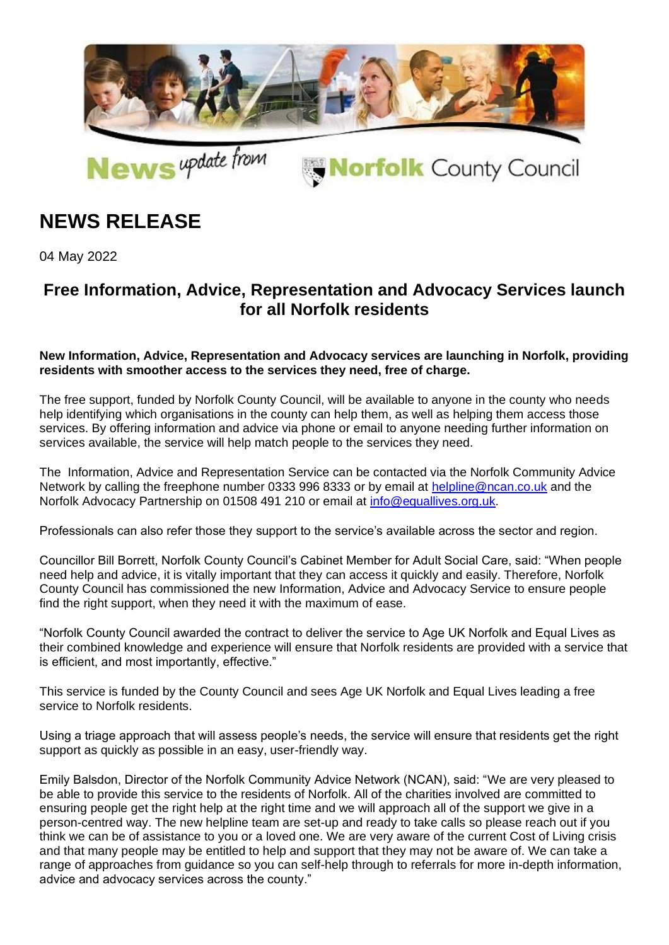

## **NEWS RELEASE**

04 May 2022

## **Free Information, Advice, Representation and Advocacy Services launch for all Norfolk residents**

## **New Information, Advice, Representation and Advocacy services are launching in Norfolk, providing residents with smoother access to the services they need, free of charge.**

The free support, funded by Norfolk County Council, will be available to anyone in the county who needs help identifying which organisations in the county can help them, as well as helping them access those services. By offering information and advice via phone or email to anyone needing further information on services available, the service will help match people to the services they need.

The Information, Advice and Representation Service can be contacted via the Norfolk Community Advice Network by calling the freephone number 0333 996 8333 or by email at [helpline@ncan.co.uk](mailto:helpline@ncan.co.uk) and the Norfolk Advocacy Partnership on 01508 491 210 or email at [info@equallives.org.uk.](mailto:info@equallives.org.uk)

Professionals can also refer those they support to the service's available across the sector and region.

Councillor Bill Borrett, Norfolk County Council's Cabinet Member for Adult Social Care, said: "When people need help and advice, it is vitally important that they can access it quickly and easily. Therefore, Norfolk County Council has commissioned the new Information, Advice and Advocacy Service to ensure people find the right support, when they need it with the maximum of ease.

"Norfolk County Council awarded the contract to deliver the service to Age UK Norfolk and Equal Lives as their combined knowledge and experience will ensure that Norfolk residents are provided with a service that is efficient, and most importantly, effective."

This service is funded by the County Council and sees Age UK Norfolk and Equal Lives leading a free service to Norfolk residents.

Using a triage approach that will assess people's needs, the service will ensure that residents get the right support as quickly as possible in an easy, user-friendly way.

Emily Balsdon, Director of the Norfolk Community Advice Network (NCAN), said: "We are very pleased to be able to provide this service to the residents of Norfolk. All of the charities involved are committed to ensuring people get the right help at the right time and we will approach all of the support we give in a person-centred way. The new helpline team are set-up and ready to take calls so please reach out if you think we can be of assistance to you or a loved one. We are very aware of the current Cost of Living crisis and that many people may be entitled to help and support that they may not be aware of. We can take a range of approaches from guidance so you can self-help through to referrals for more in-depth information, advice and advocacy services across the county."